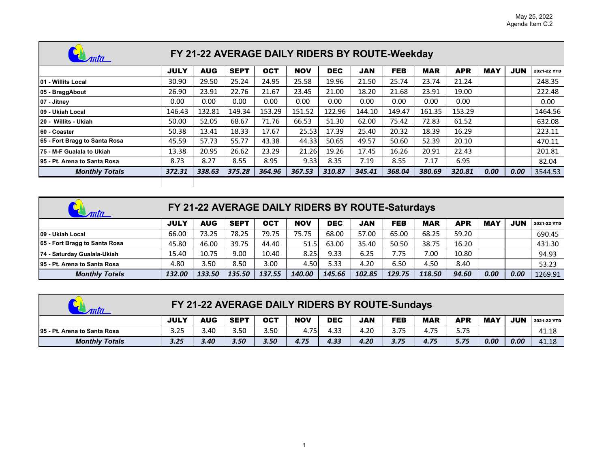| mta                           | FY 21-22 AVERAGE DAILY RIDERS BY ROUTE-Weekday |            |             |            |            |            |            |            |            |            |            |            |             |  |  |
|-------------------------------|------------------------------------------------|------------|-------------|------------|------------|------------|------------|------------|------------|------------|------------|------------|-------------|--|--|
|                               | <b>JULY</b>                                    | <b>AUG</b> | <b>SEPT</b> | <b>OCT</b> | <b>NOV</b> | <b>DEC</b> | <b>JAN</b> | <b>FEB</b> | <b>MAR</b> | <b>APR</b> | <b>MAY</b> | <b>JUN</b> | 2021-22 YTD |  |  |
| 01 - Willits Local            | 30.90                                          | 29.50      | 25.24       | 24.95      | 25.58      | 19.96      | 21.50      | 25.74      | 23.74      | 21.24      |            |            | 248.35      |  |  |
| 05 - BraggAbout               | 26.90                                          | 23.91      | 22.76       | 21.67      | 23.45      | 21.00      | 18.20      | 21.68      | 23.91      | 19.00      |            |            | 222.48      |  |  |
| 07 - Jitney                   | 0.00                                           | 0.00       | 0.00        | 0.00       | 0.00       | 0.00       | 0.00       | 0.00       | 0.00       | 0.00       |            |            | 0.00        |  |  |
| 109 - Ukiah Local             | 146.43                                         | 132.81     | 149.34      | 153.29     | 151.52     | 122.96     | 144.10     | 149.47     | 161.35     | 153.29     |            |            | 1464.56     |  |  |
| 20 - Willits - Ukiah          | 50.00                                          | 52.05      | 68.67       | 71.76      | 66.53      | 51.30      | 62.00      | 75.42      | 72.83      | 61.52      |            |            | 632.08      |  |  |
| 60 - Coaster                  | 50.38                                          | 13.41      | 18.33       | 17.67      | 25.53      | 17.39      | 25.40      | 20.32      | 18.39      | 16.29      |            |            | 223.11      |  |  |
| 65 - Fort Bragg to Santa Rosa | 45.59                                          | 57.73      | 55.77       | 43.38      | 44.33      | 50.65      | 49.57      | 50.60      | 52.39      | 20.10      |            |            | 470.11      |  |  |
| 75 - M-F Gualala to Ukiah     | 13.38                                          | 20.95      | 26.62       | 23.29      | 21.26      | 19.26      | 17.45      | 16.26      | 20.91      | 22.43      |            |            | 201.81      |  |  |
| 195 - Pt. Arena to Santa Rosa | 8.73                                           | 8.27       | 8.55        | 8.95       | 9.33       | 8.35       | 7.19       | 8.55       | 7.17       | 6.95       |            |            | 82.04       |  |  |
| <b>Monthly Totals</b>         | 372.31                                         | 338.63     | 375.28      | 364.96     | 367.53     | 310.87     | 345.41     | 368.04     | 380.69     | 320.81     | 0.00       | 0.00       | 3544.53     |  |  |
|                               |                                                |            |             |            |            |            |            |            |            |            |            |            |             |  |  |

 $\Box$ 

 $\overline{\phantom{a}}$ 

| ANTIL                         | FY 21-22 AVERAGE DAILY RIDERS BY ROUTE-Saturdays |            |             |            |            |            |            |            |            |            |      |            |             |  |  |
|-------------------------------|--------------------------------------------------|------------|-------------|------------|------------|------------|------------|------------|------------|------------|------|------------|-------------|--|--|
|                               | <b>JULY</b>                                      | <b>AUG</b> | <b>SEPT</b> | <b>OCT</b> | <b>NOV</b> | <b>DEC</b> | <b>JAN</b> | <b>FEB</b> | <b>MAR</b> | <b>APR</b> | MAY  | <b>JUN</b> | 2021-22 YTD |  |  |
| 109 - Ukiah Local             | 66.00                                            | 73.25      | 78.25       | 79.75      | 75.75      | 68.00      | 57.00      | 65.00      | 68.25      | 59.20      |      |            | 690.45      |  |  |
| 65 - Fort Bragg to Santa Rosa | 45.80                                            | 46.00      | 39.75       | 44.40      | 51.5       | 63.00      | 35.40      | 50.50      | 38.75      | 16.20      |      |            | 431.30      |  |  |
| 74 - Saturday Gualala-Ukiah   | 15.40                                            | 10.75      | 9.00        | 10.40      | 8.25 l     | 9.33       | 6.25       | 7.75       | 7.00       | 10.80      |      |            | 94.93       |  |  |
| 95 - Pt. Arena to Santa Rosa  | 4.80                                             | 3.50       | 8.50        | 3.00       | 4.50       | 5.33       | 4.20       | 6.50       | 4.50       | 8.40       |      |            | 53.23       |  |  |
| <b>Monthly Totals</b>         | 132.00                                           | 133.50     | 135.50      | 137.55     | 140.00     | 145.66     | 102.85     | 129.75     | 118.50     | 94.60      | 0.00 | 0.00       | 1269.91     |  |  |

| FY 21-22 AVERAGE DAILY RIDERS BY ROUTE-Sundays |             |            |             |            |            |            |            |            |            |            |            |            |             |  |
|------------------------------------------------|-------------|------------|-------------|------------|------------|------------|------------|------------|------------|------------|------------|------------|-------------|--|
|                                                | <b>JULY</b> | <b>AUG</b> | <b>SEPT</b> | <b>OCT</b> | <b>NOV</b> | <b>DEC</b> | <b>JAN</b> | <b>FEB</b> | <b>MAR</b> | <b>APR</b> | <b>MAY</b> | <b>JUN</b> | 2021-22 YTD |  |
| 195 - Pt. Arena to Santa Rosa                  | 3.25        | 3.40       | 3.50        | 3.50       | 4.75       | 4.33       | 4.20       | 3.75       | 4.75       | 5.75       |            |            | 41.18       |  |
| <b>Monthly Totals</b>                          | 3.25        | 3.40       | 3.50        | 3.50       | 4.75       | 4.33       | 4.20       | 3.75       | 4.75       | 5.75       | 0.00       | 0.00       | 41.18       |  |